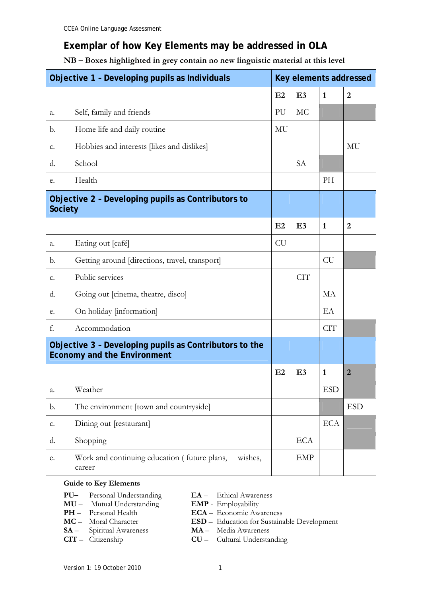# **Exemplar of how Key Elements may be addressed in OLA**

### **NB – Boxes highlighted in grey contain no new linguistic material at this level**

| Objective 1 - Developing pupils as Individuals                                               |                                                                   | Key elements addressed |                |              |                |  |
|----------------------------------------------------------------------------------------------|-------------------------------------------------------------------|------------------------|----------------|--------------|----------------|--|
|                                                                                              |                                                                   | E2                     | E <sub>3</sub> | $\mathbf{1}$ | $\overline{2}$ |  |
| a.                                                                                           | Self, family and friends                                          | PU                     | MC             |              |                |  |
| b.                                                                                           | Home life and daily routine                                       | MU                     |                |              |                |  |
| c.                                                                                           | Hobbies and interests [likes and dislikes]                        |                        |                |              | MU             |  |
| d.                                                                                           | School                                                            |                        | <b>SA</b>      |              |                |  |
| e.                                                                                           | Health                                                            |                        |                | PH           |                |  |
| Objective 2 - Developing pupils as Contributors to<br><b>Society</b>                         |                                                                   |                        |                |              |                |  |
|                                                                                              |                                                                   | E2                     | E3             | $\mathbf{1}$ | $\overline{2}$ |  |
| a.                                                                                           | Eating out [café]                                                 | <b>CU</b>              |                |              |                |  |
| b.                                                                                           | Getting around [directions, travel, transport]                    |                        |                | <b>CU</b>    |                |  |
| $C_{\bullet}$                                                                                | Public services                                                   |                        | <b>CIT</b>     |              |                |  |
| d.                                                                                           | Going out [cinema, theatre, disco]                                |                        |                | MA           |                |  |
| e.                                                                                           | On holiday [information]                                          |                        |                | EA           |                |  |
| f.                                                                                           | Accommodation                                                     |                        |                | <b>CIT</b>   |                |  |
| Objective 3 - Developing pupils as Contributors to the<br><b>Economy and the Environment</b> |                                                                   |                        |                |              |                |  |
|                                                                                              |                                                                   | E2                     | E <sub>3</sub> | 1            | $\overline{2}$ |  |
| a.                                                                                           | Weather                                                           |                        |                | <b>ESD</b>   |                |  |
| b.                                                                                           | The environment [town and countryside]                            |                        |                |              | <b>ESD</b>     |  |
| c.                                                                                           | Dining out [restaurant]                                           |                        |                | <b>ECA</b>   |                |  |
| d.                                                                                           | Shopping                                                          |                        | <b>ECA</b>     |              |                |  |
| e.                                                                                           | Work and continuing education (future plans,<br>wishes,<br>career |                        | <b>EMP</b>     |              |                |  |

#### **Guide to Key Elements**

- **PU–** Personal Understanding **EA**  Ethical Awareness
- **MU** Mutual Understanding **EMP** Employability<br> **PH** Personal Health **ECA** Economic Aw
- 
- 
- **SA**  Spiritual Awareness **MA**  Media Awareness
- 
- 
- - **ECA** Economic Awareness
- **MC**  Moral Character **ESD**  Education for Sustainable Development
	-
- **CIT** Citizenship **CU**  Cultural Understanding